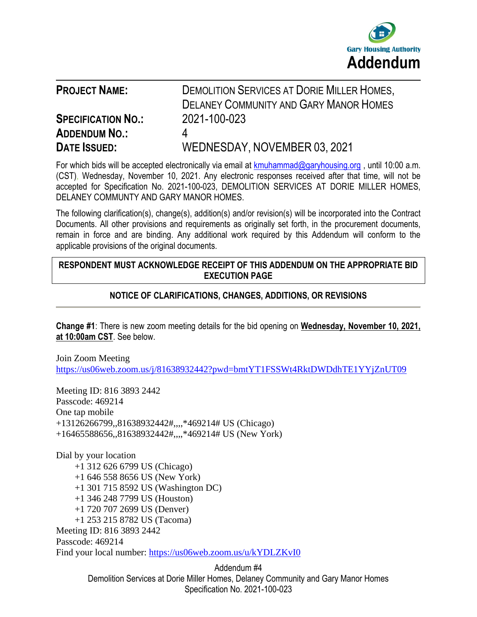

| <b>PROJECT NAME:</b>      | <b>DEMOLITION SERVICES AT DORIE MILLER HOMES,</b><br><b>DELANEY COMMUNITY AND GARY MANOR HOMES</b> |
|---------------------------|----------------------------------------------------------------------------------------------------|
|                           |                                                                                                    |
| <b>SPECIFICATION NO.:</b> | 2021-100-023                                                                                       |
| <b>ADDENDUM NO.:</b>      | 4                                                                                                  |
| <b>DATE ISSUED:</b>       | WEDNESDAY, NOVEMBER 03, 2021                                                                       |

For which bids will be accepted electronically via email at [kmuhammad@garyhousing.org](mailto:kmuhammad@garyhousing.org), until 10:00 a.m. (CST), Wednesday, November 10, 2021. Any electronic responses received after that time, will not be accepted for Specification No. 2021-100-023, DEMOLITION SERVICES AT DORIE MILLER HOMES, DELANEY COMMUNTY AND GARY MANOR HOMES.

The following clarification(s), change(s), addition(s) and/or revision(s) will be incorporated into the Contract Documents. All other provisions and requirements as originally set forth, in the procurement documents, remain in force and are binding. Any additional work required by this Addendum will conform to the applicable provisions of the original documents.

## **RESPONDENT MUST ACKNOWLEDGE RECEIPT OF THIS ADDENDUM ON THE APPROPRIATE BID EXECUTION PAGE**

# **NOTICE OF CLARIFICATIONS, CHANGES, ADDITIONS, OR REVISIONS**

**Change #1**: There is new zoom meeting details for the bid opening on **Wednesday, November 10, 2021, at 10:00am CST**. See below.

Join Zoom Meeting <https://us06web.zoom.us/j/81638932442?pwd=bmtYT1FSSWt4RktDWDdhTE1YYjZnUT09>

Meeting ID: 816 3893 2442 Passcode: 469214 One tap mobile +13126266799,,81638932442#,,,,\*469214# US (Chicago) +16465588656,,81638932442#,,,,\*469214# US (New York)

Dial by your location +1 312 626 6799 US (Chicago) +1 646 558 8656 US (New York) +1 301 715 8592 US (Washington DC) +1 346 248 7799 US (Houston) +1 720 707 2699 US (Denver) +1 253 215 8782 US (Tacoma) Meeting ID: 816 3893 2442 Passcode: 469214 Find your local number:<https://us06web.zoom.us/u/kYDLZKvI0>

> Addendum #4 Demolition Services at Dorie Miller Homes, Delaney Community and Gary Manor Homes Specification No. 2021-100-023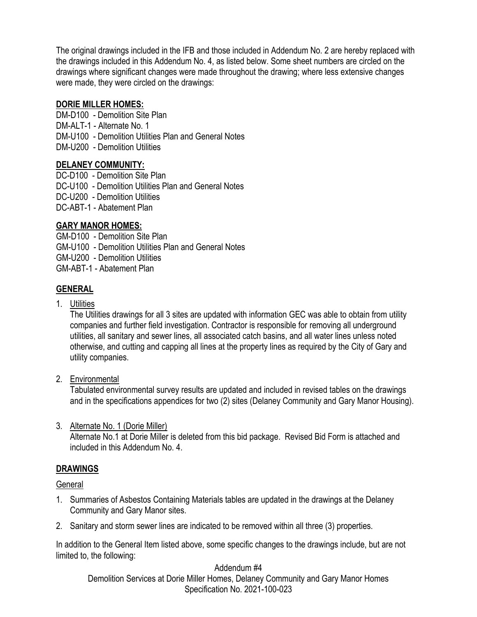The original drawings included in the IFB and those included in Addendum No. 2 are hereby replaced with the drawings included in this Addendum No. 4, as listed below. Some sheet numbers are circled on the drawings where significant changes were made throughout the drawing; where less extensive changes were made, they were circled on the drawings:

## **DORIE MILLER HOMES:**

DM-D100 - Demolition Site Plan DM-ALT-1 - Alternate No. 1 DM-U100 - Demolition Utilities Plan and General Notes DM-U200 - Demolition Utilities

# **DELANEY COMMUNITY:**

DC-D100 - Demolition Site Plan DC-U100 - Demolition Utilities Plan and General Notes DC-U200 - Demolition Utilities DC-ABT-1 - Abatement Plan

# **GARY MANOR HOMES:**

GM-D100 - Demolition Site Plan GM-U100 - Demolition Utilities Plan and General Notes GM-U200 - Demolition Utilities GM-ABT-1 - Abatement Plan

# **GENERAL**

1. Utilities

The Utilities drawings for all 3 sites are updated with information GEC was able to obtain from utility companies and further field investigation. Contractor is responsible for removing all underground utilities, all sanitary and sewer lines, all associated catch basins, and all water lines unless noted otherwise, and cutting and capping all lines at the property lines as required by the City of Gary and utility companies.

2. Environmental

Tabulated environmental survey results are updated and included in revised tables on the drawings and in the specifications appendices for two (2) sites (Delaney Community and Gary Manor Housing).

3. Alternate No. 1 (Dorie Miller)

Alternate No.1 at Dorie Miller is deleted from this bid package. Revised Bid Form is attached and included in this Addendum No. 4.

# **DRAWINGS**

**General** 

- 1. Summaries of Asbestos Containing Materials tables are updated in the drawings at the Delaney Community and Gary Manor sites.
- 2. Sanitary and storm sewer lines are indicated to be removed within all three (3) properties.

In addition to the General Item listed above, some specific changes to the drawings include, but are not limited to, the following:

Addendum #4 Demolition Services at Dorie Miller Homes, Delaney Community and Gary Manor Homes Specification No. 2021-100-023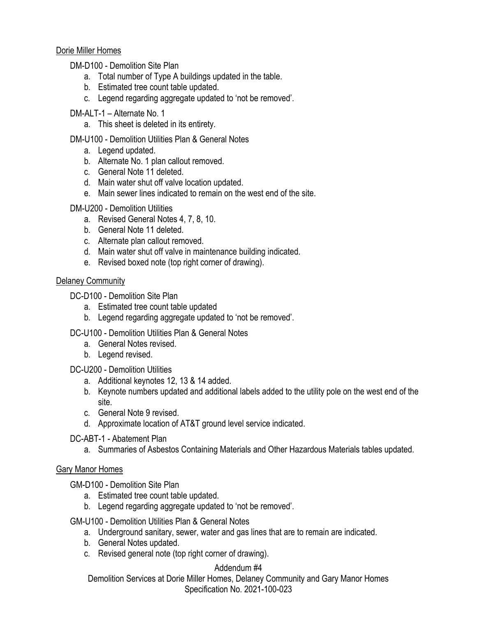### Dorie Miller Homes

DM-D100 - Demolition Site Plan

- a. Total number of Type A buildings updated in the table.
- b. Estimated tree count table updated.
- c. Legend regarding aggregate updated to 'not be removed'.

## DM-ALT-1 – Alternate No. 1

a. This sheet is deleted in its entirety.

# DM-U100 - Demolition Utilities Plan & General Notes

- a. Legend updated.
- b. Alternate No. 1 plan callout removed.
- c. General Note 11 deleted.
- d. Main water shut off valve location updated.
- e. Main sewer lines indicated to remain on the west end of the site.

# DM-U200 - Demolition Utilities

- a. Revised General Notes 4, 7, 8, 10.
- b. General Note 11 deleted.
- c. Alternate plan callout removed.
- d. Main water shut off valve in maintenance building indicated.
- e. Revised boxed note (top right corner of drawing).

# Delaney Community

DC-D100 - Demolition Site Plan

- a. Estimated tree count table updated
- b. Legend regarding aggregate updated to 'not be removed'.

# DC-U100 - Demolition Utilities Plan & General Notes

- a. General Notes revised.
- b. Legend revised.

### DC-U200 - Demolition Utilities

- a. Additional keynotes 12, 13 & 14 added.
- b. Keynote numbers updated and additional labels added to the utility pole on the west end of the site.
- c. General Note 9 revised.
- d. Approximate location of AT&T ground level service indicated.

### DC-ABT-1 - Abatement Plan

a. Summaries of Asbestos Containing Materials and Other Hazardous Materials tables updated.

# Gary Manor Homes

GM-D100 - Demolition Site Plan

- a. Estimated tree count table updated.
- b. Legend regarding aggregate updated to 'not be removed'.

GM-U100 - Demolition Utilities Plan & General Notes

- a. Underground sanitary, sewer, water and gas lines that are to remain are indicated.
- b. General Notes updated.
- c. Revised general note (top right corner of drawing).

# Addendum #4

Demolition Services at Dorie Miller Homes, Delaney Community and Gary Manor Homes Specification No. 2021-100-023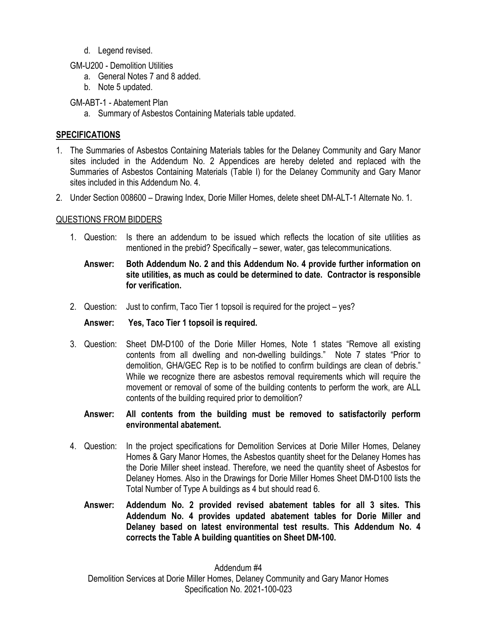- d. Legend revised.
- GM-U200 Demolition Utilities
	- a. General Notes 7 and 8 added.
	- b. Note 5 updated.

GM-ABT-1 - Abatement Plan

a. Summary of Asbestos Containing Materials table updated.

# **SPECIFICATIONS**

- 1. The Summaries of Asbestos Containing Materials tables for the Delaney Community and Gary Manor sites included in the Addendum No. 2 Appendices are hereby deleted and replaced with the Summaries of Asbestos Containing Materials (Table I) for the Delaney Community and Gary Manor sites included in this Addendum No. 4.
- 2. Under Section 008600 Drawing Index, Dorie Miller Homes, delete sheet DM-ALT-1 Alternate No. 1.

# QUESTIONS FROM BIDDERS

1. Question: Is there an addendum to be issued which reflects the location of site utilities as mentioned in the prebid? Specifically – sewer, water, gas telecommunications.

## **Answer: Both Addendum No. 2 and this Addendum No. 4 provide further information on site utilities, as much as could be determined to date. Contractor is responsible for verification.**

2. Question: Just to confirm, Taco Tier 1 topsoil is required for the project – yes?

# **Answer: Yes, Taco Tier 1 topsoil is required.**

3. Question: Sheet DM-D100 of the Dorie Miller Homes, Note 1 states "Remove all existing contents from all dwelling and non-dwelling buildings." Note 7 states "Prior to demolition, GHA/GEC Rep is to be notified to confirm buildings are clean of debris." While we recognize there are asbestos removal requirements which will require the movement or removal of some of the building contents to perform the work, are ALL contents of the building required prior to demolition?

### **Answer: All contents from the building must be removed to satisfactorily perform environmental abatement.**

- 4. Question: In the project specifications for Demolition Services at Dorie Miller Homes, Delaney Homes & Gary Manor Homes, the Asbestos quantity sheet for the Delaney Homes has the Dorie Miller sheet instead. Therefore, we need the quantity sheet of Asbestos for Delaney Homes. Also in the Drawings for Dorie Miller Homes Sheet DM-D100 lists the Total Number of Type A buildings as 4 but should read 6.
	- **Answer: Addendum No. 2 provided revised abatement tables for all 3 sites. This Addendum No. 4 provides updated abatement tables for Dorie Miller and Delaney based on latest environmental test results. This Addendum No. 4 corrects the Table A building quantities on Sheet DM-100.**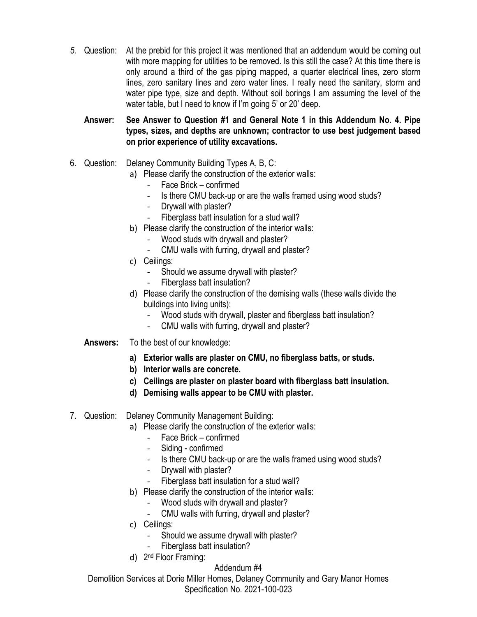*5.* Question: At the prebid for this project it was mentioned that an addendum would be coming out with more mapping for utilities to be removed. Is this still the case? At this time there is only around a third of the gas piping mapped, a quarter electrical lines, zero storm lines, zero sanitary lines and zero water lines. I really need the sanitary, storm and water pipe type, size and depth. Without soil borings I am assuming the level of the water table, but I need to know if I'm going 5' or 20' deep.

**Answer: See Answer to Question #1 and General Note 1 in this Addendum No. 4. Pipe types, sizes, and depths are unknown; contractor to use best judgement based on prior experience of utility excavations.**

- 6. Question: Delaney Community Building Types A, B, C:
	- a) Please clarify the construction of the exterior walls:
		- Face Brick confirmed
		- Is there CMU back-up or are the walls framed using wood studs?
		- Drywall with plaster?
		- Fiberglass batt insulation for a stud wall?
	- b) Please clarify the construction of the interior walls:
		- Wood studs with drywall and plaster?
		- CMU walls with furring, drywall and plaster?
	- c) Ceilings:
		- Should we assume drywall with plaster?
		- Fiberglass batt insulation?
	- d) Please clarify the construction of the demising walls (these walls divide the buildings into living units):
		- Wood studs with drywall, plaster and fiberglass batt insulation?
		- CMU walls with furring, drywall and plaster?
	- **Answers:** To the best of our knowledge:
		- **a) Exterior walls are plaster on CMU, no fiberglass batts, or studs.**
		- **b) Interior walls are concrete.**
		- **c) Ceilings are plaster on plaster board with fiberglass batt insulation.**
		- **d) Demising walls appear to be CMU with plaster.**
- 7. Question: Delaney Community Management Building:
	- a) Please clarify the construction of the exterior walls:
		- Face Brick confirmed
		- Siding confirmed
		- Is there CMU back-up or are the walls framed using wood studs?
		- Drywall with plaster?
		- Fiberglass batt insulation for a stud wall?
	- b) Please clarify the construction of the interior walls:
		- Wood studs with drywall and plaster?
		- CMU walls with furring, drywall and plaster?
	- c) Ceilings:
		- Should we assume drywall with plaster?
		- Fiberglass batt insulation?
	- d) 2<sup>nd</sup> Floor Framing:

# Addendum #4

Demolition Services at Dorie Miller Homes, Delaney Community and Gary Manor Homes Specification No. 2021-100-023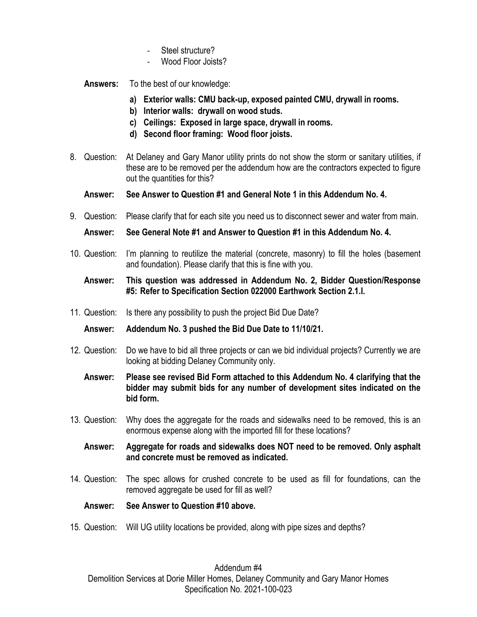- Steel structure?
- Wood Floor Joists?

**Answers:** To the best of our knowledge:

- **a) Exterior walls: CMU back-up, exposed painted CMU, drywall in rooms.**
- **b) Interior walls: drywall on wood studs.**
- **c) Ceilings: Exposed in large space, drywall in rooms.**
- **d) Second floor framing: Wood floor joists.**
- 8. Question: At Delaney and Gary Manor utility prints do not show the storm or sanitary utilities, if these are to be removed per the addendum how are the contractors expected to figure out the quantities for this?
	- **Answer: See Answer to Question #1 and General Note 1 in this Addendum No. 4.**
- 9. Question: Please clarify that for each site you need us to disconnect sewer and water from main.

**Answer: See General Note #1 and Answer to Question #1 in this Addendum No. 4.**

10. Question: I'm planning to reutilize the material (concrete, masonry) to fill the holes (basement and foundation). Please clarify that this is fine with you.

### **Answer: This question was addressed in Addendum No. 2, Bidder Question/Response #5: Refer to Specification Section 022000 Earthwork Section 2.1.I.**

11. Question: Is there any possibility to push the project Bid Due Date?

**Answer: Addendum No. 3 pushed the Bid Due Date to 11/10/21.** 

- 12. Question: Do we have to bid all three projects or can we bid individual projects? Currently we are looking at bidding Delaney Community only.
	- **Answer: Please see revised Bid Form attached to this Addendum No. 4 clarifying that the bidder may submit bids for any number of development sites indicated on the bid form.**
- 13. Question: Why does the aggregate for the roads and sidewalks need to be removed, this is an enormous expense along with the imported fill for these locations?

### **Answer: Aggregate for roads and sidewalks does NOT need to be removed. Only asphalt and concrete must be removed as indicated.**

14. Question: The spec allows for crushed concrete to be used as fill for foundations, can the removed aggregate be used for fill as well?

### **Answer: See Answer to Question #10 above.**

15. Question: Will UG utility locations be provided, along with pipe sizes and depths?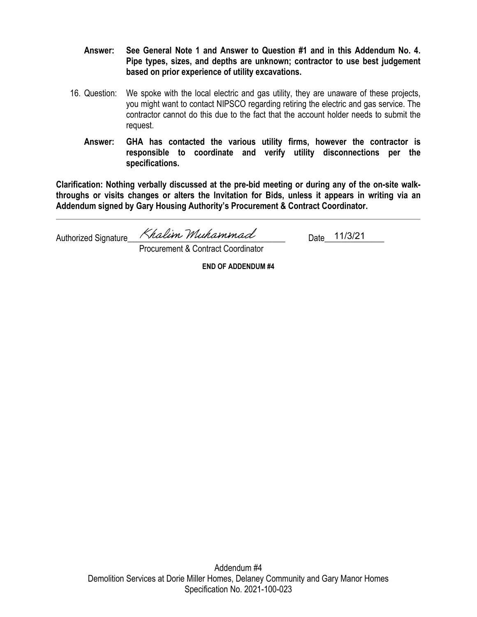- **Answer: See General Note 1 and Answer to Question #1 and in this Addendum No. 4. Pipe types, sizes, and depths are unknown; contractor to use best judgement based on prior experience of utility excavations.**
- 16. Question: We spoke with the local electric and gas utility, they are unaware of these projects, you might want to contact NIPSCO regarding retiring the electric and gas service. The contractor cannot do this due to the fact that the account holder needs to submit the request.
	- **Answer: GHA has contacted the various utility firms, however the contractor is responsible to coordinate and verify utility disconnections per the specifications.**

**Clarification: Nothing verbally discussed at the pre-bid meeting or during any of the on-site walkthroughs or visits changes or alters the Invitation for Bids, unless it appears in writing via an Addendum signed by Gary Housing Authority's Procurement & Contract Coordinator.**

Authorized Signature\_ Khalim Muhammad 11/3/21

Procurement & Contract Coordinator

**END OF ADDENDUM #4**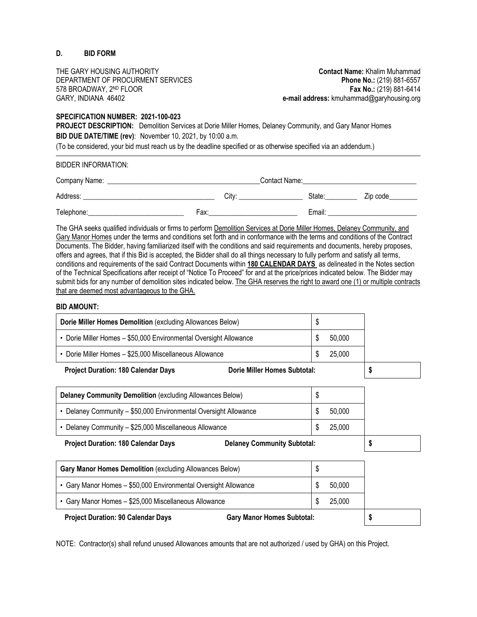#### **D. BID FORM**

THE GARY HOUSING AUTHORITY **Contact Name:** Khalim Muhammad

DEPARTMENT OF PROCURMENT SERVICES **Phone No.:** (219) 881-6557 578 BROADWAY, 2ND FLOOR **Fax No.:** (219) 881-6414 GARY, INDIANA 46402 **e-mail address:** kmuhammad@garyhousing.org

#### **SPECIFICATION NUMBER: 2021-100-023**

**PROJECT DESCRIPTION:** Demolition Services at Dorie Miller Homes, Delaney Community, and Gary Manor Homes **BID DUE DATE/TIME (rev)**: November 10, 2021, by 10:00 a.m.

(To be considered, your bid must reach us by the deadline specified or as otherwise specified via an addendum.)

BIDDER INFORMATION:

| Company Name: | Contact Name: |                   |  |        |          |
|---------------|---------------|-------------------|--|--------|----------|
| Address:      |               | Citv <sup>.</sup> |  | State: | Zip code |
| Telephone:    | Fax:          |                   |  | Email: |          |

The GHA seeks qualified individuals or firms to perform Demolition Services at Dorie Miller Homes, Delaney Community, and Gary Manor Homes under the terms and conditions set forth and in conformance with the terms and conditions of the Contract Documents. The Bidder, having familiarized itself with the conditions and said requirements and documents, hereby proposes, offers and agrees, that if this Bid is accepted, the Bidder shall do all things necessary to fully perform and satisfy all terms, conditions and requirements of the said Contract Documents within **180 CALENDAR DAYS** as delineated in the Notes section of the Technical Specifications after receipt of "Notice To Proceed" for and at the price/prices indicated below. The Bidder may submit bids for any number of demolition sites indicated below. The GHA reserves the right to award one (1) or multiple contracts that are deemed most advantageous to the GHA.

#### **BID AMOUNT:**

| .                                                                 |        |  |
|-------------------------------------------------------------------|--------|--|
| • Dorie Miller Homes - \$25,000 Miscellaneous Allowance           | 25,000 |  |
| • Dorie Miller Homes - \$50,000 Environmental Oversight Allowance | 50,000 |  |
| Dorie Miller Homes Demolition (excluding Allowances Below)        |        |  |

**Project Duration: 180 Calendar Days Dorie Miller Homes Subtotal: \$**

| Delaney Community Demolition (excluding Allowances Below)                        |  |        |  |
|----------------------------------------------------------------------------------|--|--------|--|
| • Delaney Community - \$50,000 Environmental Oversight Allowance                 |  | 50,000 |  |
| • Delaney Community - \$25,000 Miscellaneous Allowance                           |  | 25,000 |  |
| <b>Project Duration: 180 Calendar Days</b><br><b>Delaney Community Subtotal:</b> |  |        |  |

| <b>Gary Manor Homes Demolition (excluding Allowances Below)</b>                |        |  |
|--------------------------------------------------------------------------------|--------|--|
| • Gary Manor Homes - \$50,000 Environmental Oversight Allowance                | 50,000 |  |
| • Gary Manor Homes - \$25,000 Miscellaneous Allowance                          | 25,000 |  |
| <b>Project Duration: 90 Calendar Days</b><br><b>Gary Manor Homes Subtotal:</b> |        |  |

NOTE: Contractor(s) shall refund unused Allowances amounts that are not authorized / used by GHA) on this Project.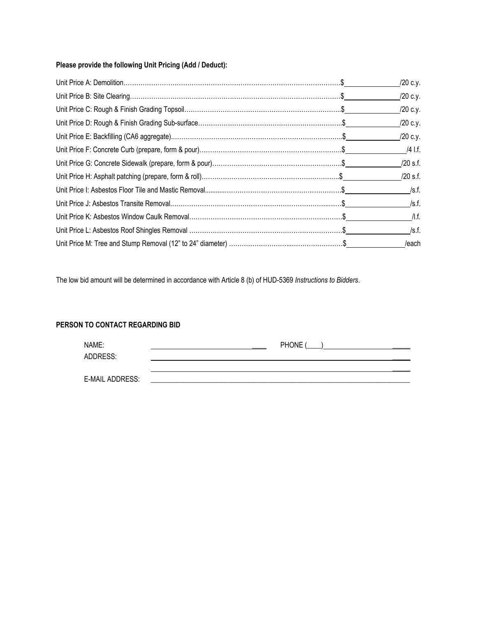#### **Please provide the following Unit Pricing (Add / Deduct):**

|  | /20 c.y.   |
|--|------------|
|  | /20 c.y.   |
|  | /20 c.y.   |
|  | /20 c.y.   |
|  | /20 c.y.   |
|  | /4 I.f.    |
|  | $/20$ s.f. |
|  | /20 s.f.   |
|  |            |
|  |            |
|  | $/$ l.f.   |
|  | /s.f.      |
|  | /each      |

The low bid amount will be determined in accordance with Article 8 (b) of HUD-5369 *Instructions to Bidders*.

#### **PERSON TO CONTACT REGARDING BID**

| NAME:           | PHONE ( |
|-----------------|---------|
| ADDRESS:        |         |
|                 |         |
| E-MAIL ADDRESS: |         |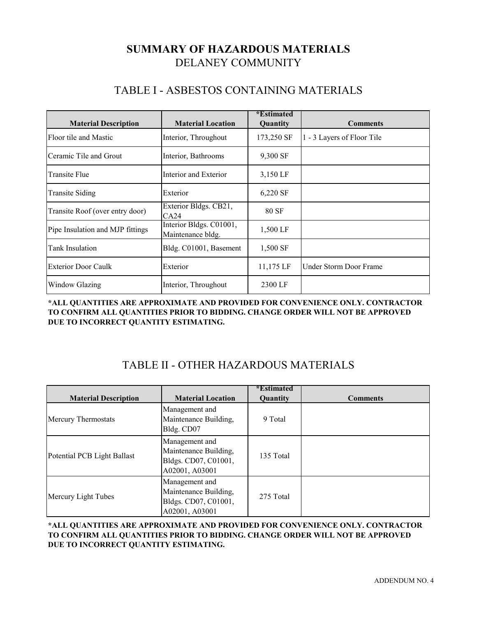# DELANEY COMMUNITY **SUMMARY OF HAZARDOUS MATERIALS**

# TABLE I - ASBESTOS CONTAINING MATERIALS

| <b>Material Description</b>      | <b>Material Location</b>                     | <i>*</i> Estimated<br><b>Quantity</b> | <b>Comments</b>            |
|----------------------------------|----------------------------------------------|---------------------------------------|----------------------------|
| Floor tile and Mastic            | Interior, Throughout                         | 173,250 SF                            | 1 - 3 Layers of Floor Tile |
| Ceramic Tile and Grout           | Interior, Bathrooms                          | 9,300 SF                              |                            |
| Transite Flue                    | Interior and Exterior                        | 3,150 LF                              |                            |
| <b>Transite Siding</b>           | Exterior                                     | 6,220 SF                              |                            |
| Transite Roof (over entry door)  | Exterior Bldgs. CB21,<br>CA24                | 80 SF                                 |                            |
| Pipe Insulation and MJP fittings | Interior Bldgs. C01001,<br>Maintenance bldg. | 1,500 LF                              |                            |
| Tank Insulation                  | Bldg. C01001, Basement                       | 1,500 SF                              |                            |
| <b>Exterior Door Caulk</b>       | Exterior                                     | 11,175 LF                             | Under Storm Door Frame     |
| Window Glazing                   | Interior, Throughout                         | 2300 LF                               |                            |

**\*ALL QUANTITIES ARE APPROXIMATE AND PROVIDED FOR CONVENIENCE ONLY. CONTRACTOR TO CONFIRM ALL QUANTITIES PRIOR TO BIDDING. CHANGE ORDER WILL NOT BE APPROVED DUE TO INCORRECT QUANTITY ESTIMATING.** 

# TABLE II - OTHER HAZARDOUS MATERIALS

| <b>Material Description</b> | <b>Material Location</b>                                                          | <i>*</i> Estimated<br>Quantity | <b>Comments</b> |
|-----------------------------|-----------------------------------------------------------------------------------|--------------------------------|-----------------|
| <b>Mercury Thermostats</b>  | Management and<br>Maintenance Building,<br>Bldg. CD07                             | 9 Total                        |                 |
| Potential PCB Light Ballast | Management and<br>Maintenance Building,<br>Bldgs. CD07, C01001,<br>A02001, A03001 | 135 Total                      |                 |
| Mercury Light Tubes         | Management and<br>Maintenance Building,<br>Bldgs. CD07, C01001,<br>A02001, A03001 | 275 Total                      |                 |

**\*ALL QUANTITIES ARE APPROXIMATE AND PROVIDED FOR CONVENIENCE ONLY. CONTRACTOR TO CONFIRM ALL QUANTITIES PRIOR TO BIDDING. CHANGE ORDER WILL NOT BE APPROVED DUE TO INCORRECT QUANTITY ESTIMATING.**